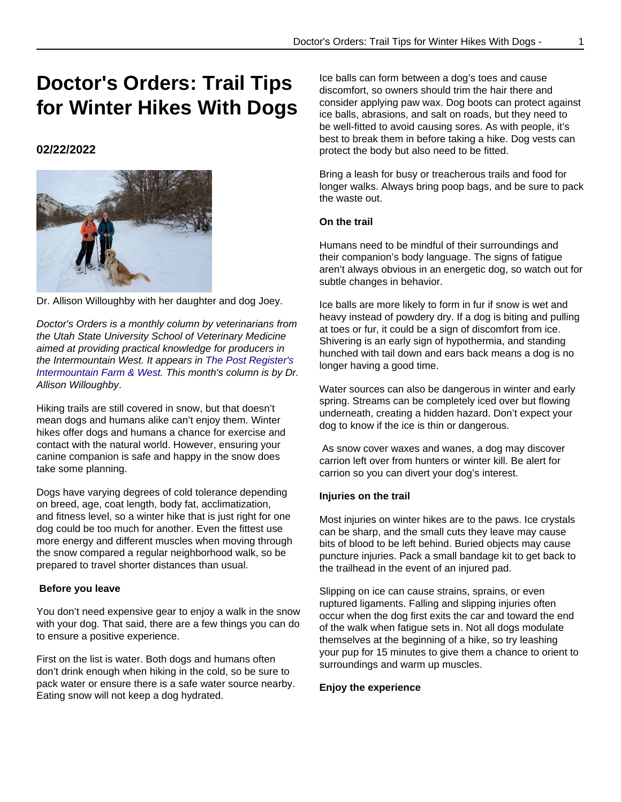# **Doctor's Orders: Trail Tips for Winter Hikes With Dogs**

# **02/22/2022**



Dr. Allison Willoughby with her daughter and dog Joey.

Doctor's Orders is a monthly column by veterinarians from the Utah State University School of Veterinary Medicine aimed at providing practical knowledge for producers in the Intermountain West. It appears in [The Post Register's](https://www.postregister.com/farmandranch/columnists/doctors_orders/doctors-orders-trail-tips-for-winter-hikes-with-dogs/article_b5903232-bef3-5f7f-b4c8-62e35026df0f.html) [Intermountain Farm & West](https://www.postregister.com/farmandranch/columnists/doctors_orders/doctors-orders-trail-tips-for-winter-hikes-with-dogs/article_b5903232-bef3-5f7f-b4c8-62e35026df0f.html). This month's column is by Dr. Allison Willoughby.

Hiking trails are still covered in snow, but that doesn't mean dogs and humans alike can't enjoy them. Winter hikes offer dogs and humans a chance for exercise and contact with the natural world. However, ensuring your canine companion is safe and happy in the snow does take some planning.

Dogs have varying degrees of cold tolerance depending on breed, age, coat length, body fat, acclimatization, and fitness level, so a winter hike that is just right for one dog could be too much for another. Even the fittest use more energy and different muscles when moving through the snow compared a regular neighborhood walk, so be prepared to travel shorter distances than usual.

## **Before you leave**

You don't need expensive gear to enjoy a walk in the snow with your dog. That said, there are a few things you can do to ensure a positive experience.

First on the list is water. Both dogs and humans often don't drink enough when hiking in the cold, so be sure to pack water or ensure there is a safe water source nearby. Eating snow will not keep a dog hydrated.

Ice balls can form between a dog's toes and cause discomfort, so owners should trim the hair there and consider applying paw wax. Dog boots can protect against ice balls, abrasions, and salt on roads, but they need to be well-fitted to avoid causing sores. As with people, it's best to break them in before taking a hike. Dog vests can protect the body but also need to be fitted.

Bring a leash for busy or treacherous trails and food for longer walks. Always bring poop bags, and be sure to pack the waste out.

# **On the trail**

Humans need to be mindful of their surroundings and their companion's body language. The signs of fatigue aren't always obvious in an energetic dog, so watch out for subtle changes in behavior.

Ice balls are more likely to form in fur if snow is wet and heavy instead of powdery dry. If a dog is biting and pulling at toes or fur, it could be a sign of discomfort from ice. Shivering is an early sign of hypothermia, and standing hunched with tail down and ears back means a dog is no longer having a good time.

Water sources can also be dangerous in winter and early spring. Streams can be completely iced over but flowing underneath, creating a hidden hazard. Don't expect your dog to know if the ice is thin or dangerous.

 As snow cover waxes and wanes, a dog may discover carrion left over from hunters or winter kill. Be alert for carrion so you can divert your dog's interest.

## **Injuries on the trail**

Most injuries on winter hikes are to the paws. Ice crystals can be sharp, and the small cuts they leave may cause bits of blood to be left behind. Buried objects may cause puncture injuries. Pack a small bandage kit to get back to the trailhead in the event of an injured pad.

Slipping on ice can cause strains, sprains, or even ruptured ligaments. Falling and slipping injuries often occur when the dog first exits the car and toward the end of the walk when fatigue sets in. Not all dogs modulate themselves at the beginning of a hike, so try leashing your pup for 15 minutes to give them a chance to orient to surroundings and warm up muscles.

## **Enjoy the experience**